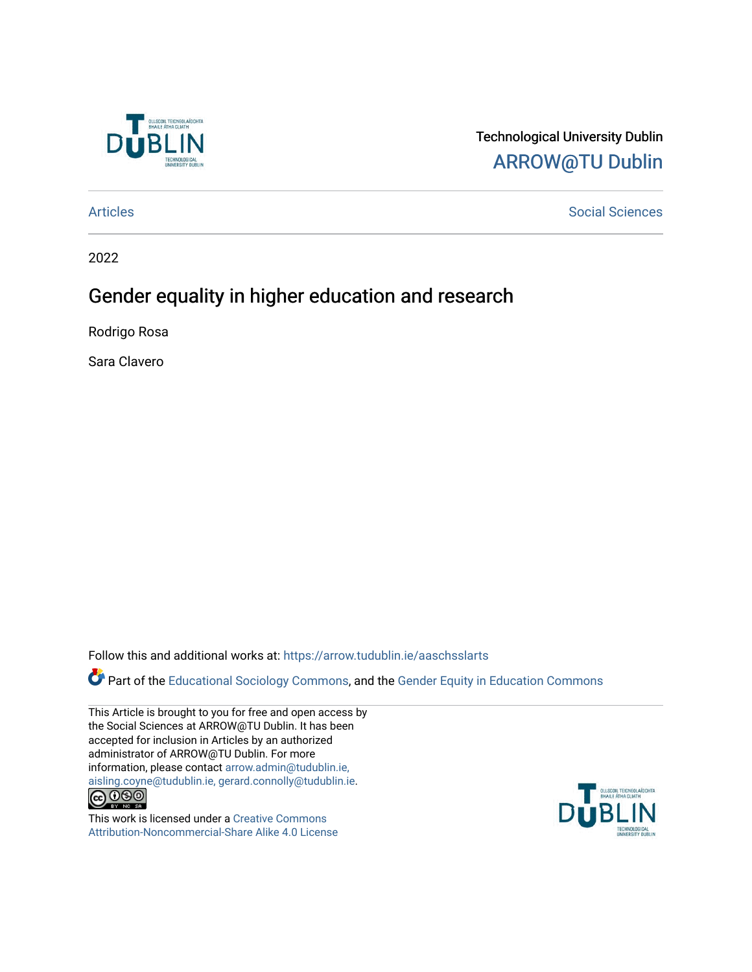

Technological University Dublin [ARROW@TU Dublin](https://arrow.tudublin.ie/) 

[Articles](https://arrow.tudublin.ie/aaschsslarts) **Social Sciences** [Social Sciences](https://arrow.tudublin.ie/aaschss) **Social Sciences** 

2022

## Gender equality in higher education and research

Rodrigo Rosa

Sara Clavero

Follow this and additional works at: [https://arrow.tudublin.ie/aaschsslarts](https://arrow.tudublin.ie/aaschsslarts?utm_source=arrow.tudublin.ie%2Faaschsslarts%2F90&utm_medium=PDF&utm_campaign=PDFCoverPages)

Part of the [Educational Sociology Commons,](https://network.bepress.com/hgg/discipline/1071?utm_source=arrow.tudublin.ie%2Faaschsslarts%2F90&utm_medium=PDF&utm_campaign=PDFCoverPages) and the [Gender Equity in Education Commons](https://network.bepress.com/hgg/discipline/1376?utm_source=arrow.tudublin.ie%2Faaschsslarts%2F90&utm_medium=PDF&utm_campaign=PDFCoverPages)

This Article is brought to you for free and open access by the Social Sciences at ARROW@TU Dublin. It has been accepted for inclusion in Articles by an authorized administrator of ARROW@TU Dublin. For more information, please contact [arrow.admin@tudublin.ie,](mailto:arrow.admin@tudublin.ie,%20aisling.coyne@tudublin.ie,%20gerard.connolly@tudublin.ie)  [aisling.coyne@tudublin.ie, gerard.connolly@tudublin.ie](mailto:arrow.admin@tudublin.ie,%20aisling.coyne@tudublin.ie,%20gerard.connolly@tudublin.ie).



This work is licensed under a [Creative Commons](http://creativecommons.org/licenses/by-nc-sa/4.0/) [Attribution-Noncommercial-Share Alike 4.0 License](http://creativecommons.org/licenses/by-nc-sa/4.0/)

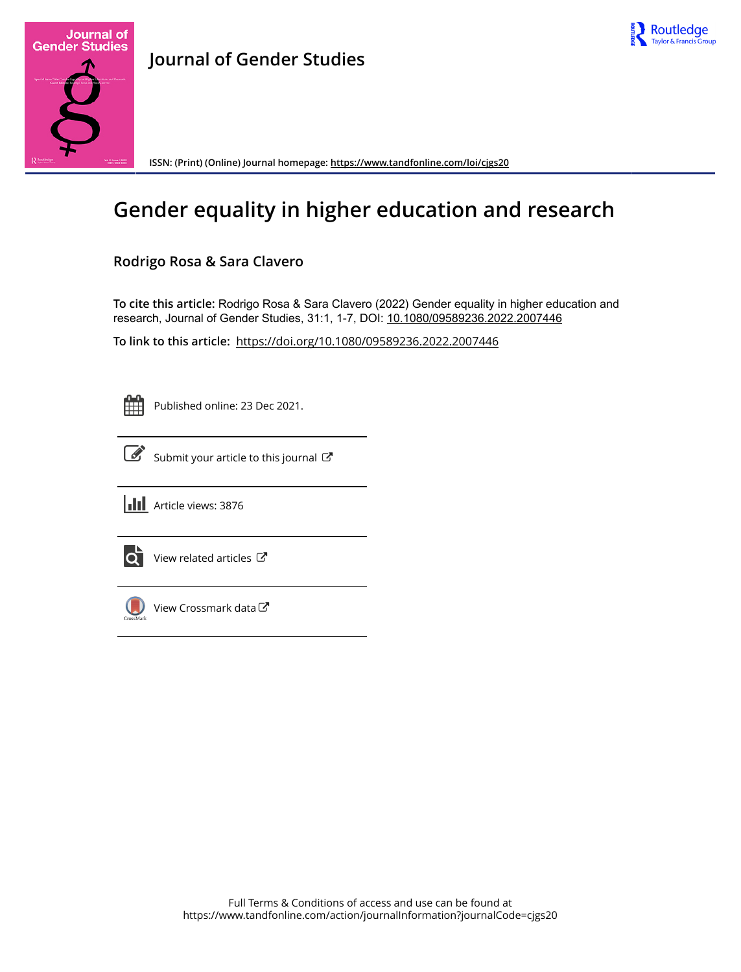



**ISSN: (Print) (Online) Journal homepage:<https://www.tandfonline.com/loi/cjgs20>**

# **Gender equality in higher education and research**

### **Rodrigo Rosa & Sara Clavero**

**To cite this article:** Rodrigo Rosa & Sara Clavero (2022) Gender equality in higher education and research, Journal of Gender Studies, 31:1, 1-7, DOI: [10.1080/09589236.2022.2007446](https://www.tandfonline.com/action/showCitFormats?doi=10.1080/09589236.2022.2007446)

**To link to this article:** <https://doi.org/10.1080/09589236.2022.2007446>

Published online: 23 Dec 2021.



[Submit your article to this journal](https://www.tandfonline.com/action/authorSubmission?journalCode=cjgs20&show=instructions)  $\mathbb{Z}$ 





 $\overrightarrow{Q}$  [View related articles](https://www.tandfonline.com/doi/mlt/10.1080/09589236.2022.2007446)  $\overrightarrow{C}$ 



[View Crossmark data](http://crossmark.crossref.org/dialog/?doi=10.1080/09589236.2022.2007446&domain=pdf&date_stamp=2021-12-23) $G$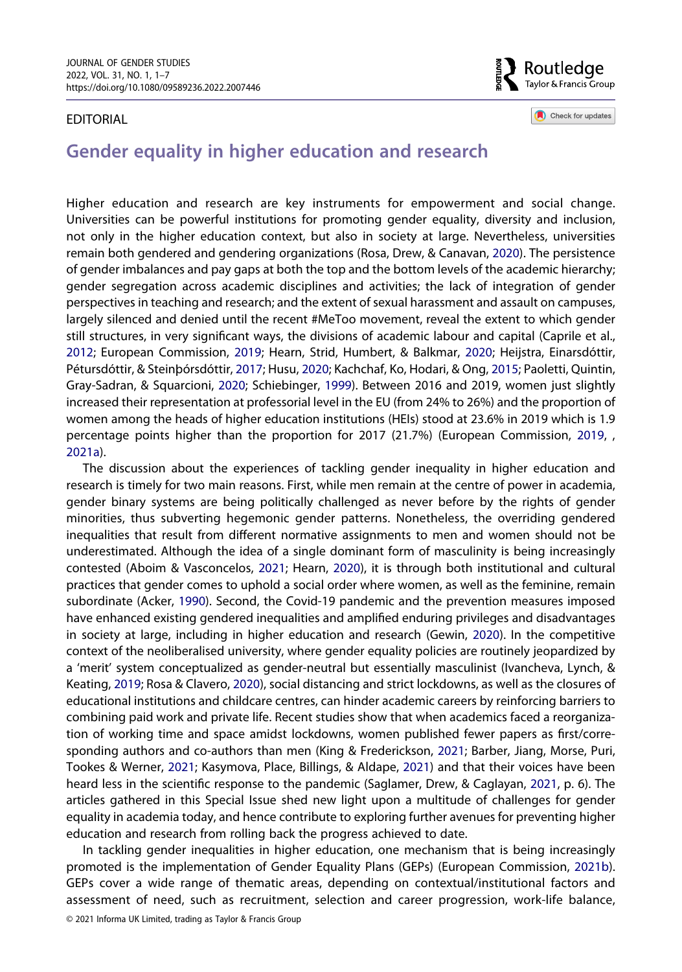#### EDITORIAL

Routledae Taylor & Francis Group

Check for updates

## **Gender equality in higher education and research**

<span id="page-2-12"></span><span id="page-2-3"></span>Higher education and research are key instruments for empowerment and social change. Universities can be powerful institutions for promoting gender equality, diversity and inclusion, not only in the higher education context, but also in society at large. Nevertheless, universities remain both gendered and gendering organizations (Rosa, Drew, & Canavan, [2020\)](#page-7-0). The persistence of gender imbalances and pay gaps at both the top and the bottom levels of the academic hierarchy; gender segregation across academic disciplines and activities; the lack of integration of gender perspectives in teaching and research; and the extent of sexual harassment and assault on campuses, largely silenced and denied until the recent #MeToo movement, reveal the extent to which gender still structures, in very significant ways, the divisions of academic labour and capital (Caprile et al., [2012;](#page-7-1) European Commission, [2019](#page-7-2); Hearn, Strid, Humbert, & Balkmar, [2020](#page-7-3); Heijstra, Einarsdóttir, Pétursdóttir, & Steinþórsdóttir, [2017](#page-7-4); Husu, [2020;](#page-7-5) Kachchaf, Ko, Hodari, & Ong, [2015](#page-7-6); Paoletti, Quintin, Gray-Sadran, & Squarcioni, [2020;](#page-7-7) Schiebinger, [1999](#page-8-0)). Between 2016 and 2019, women just slightly increased their representation at professorial level in the EU (from 24% to 26%) and the proportion of women among the heads of higher education institutions (HEIs) stood at 23.6% in 2019 which is 1.9 percentage points higher than the proportion for 2017 (21.7%) (European Commission, [2019](#page-7-2), , [2021a](#page-7-8)).

<span id="page-2-11"></span><span id="page-2-8"></span><span id="page-2-7"></span><span id="page-2-6"></span><span id="page-2-4"></span><span id="page-2-1"></span><span id="page-2-0"></span>The discussion about the experiences of tackling gender inequality in higher education and research is timely for two main reasons. First, while men remain at the centre of power in academia, gender binary systems are being politically challenged as never before by the rights of gender minorities, thus subverting hegemonic gender patterns. Nonetheless, the overriding gendered inequalities that result from different normative assignments to men and women should not be underestimated. Although the idea of a single dominant form of masculinity is being increasingly contested (Aboim & Vasconcelos, [2021](#page-7-9); Hearn, [2020\)](#page-7-10), it is through both institutional and cultural practices that gender comes to uphold a social order where women, as well as the feminine, remain subordinate (Acker, [1990\)](#page-7-11). Second, the Covid-19 pandemic and the prevention measures imposed have enhanced existing gendered inequalities and amplified enduring privileges and disadvantages in society at large, including in higher education and research (Gewin, [2020\)](#page-7-12). In the competitive context of the neoliberalised university, where gender equality policies are routinely jeopardized by a 'merit' system conceptualized as gender-neutral but essentially masculinist (Ivancheva, Lynch, & Keating, [2019;](#page-7-13) Rosa & Clavero, [2020](#page-7-14)), social distancing and strict lockdowns, as well as the closures of educational institutions and childcare centres, can hinder academic careers by reinforcing barriers to combining paid work and private life. Recent studies show that when academics faced a reorganization of working time and space amidst lockdowns, women published fewer papers as first/corresponding authors and co-authors than men (King & Frederickson, [2021](#page-7-15); Barber, Jiang, Morse, Puri, Tookes & Werner, [2021](#page-7-16); Kasymova, Place, Billings, & Aldape, [2021](#page-7-17)) and that their voices have been heard less in the scientific response to the pandemic (Saglamer, Drew, & Caglayan, [2021](#page-8-1), p. 6). The articles gathered in this Special Issue shed new light upon a multitude of challenges for gender equality in academia today, and hence contribute to exploring further avenues for preventing higher education and research from rolling back the progress achieved to date.

<span id="page-2-13"></span><span id="page-2-10"></span><span id="page-2-9"></span><span id="page-2-5"></span><span id="page-2-2"></span>In tackling gender inequalities in higher education, one mechanism that is being increasingly promoted is the implementation of Gender Equality Plans (GEPs) (European Commission, [2021b\)](#page-7-18). GEPs cover a wide range of thematic areas, depending on contextual/institutional factors and assessment of need, such as recruitment, selection and career progression, work-life balance,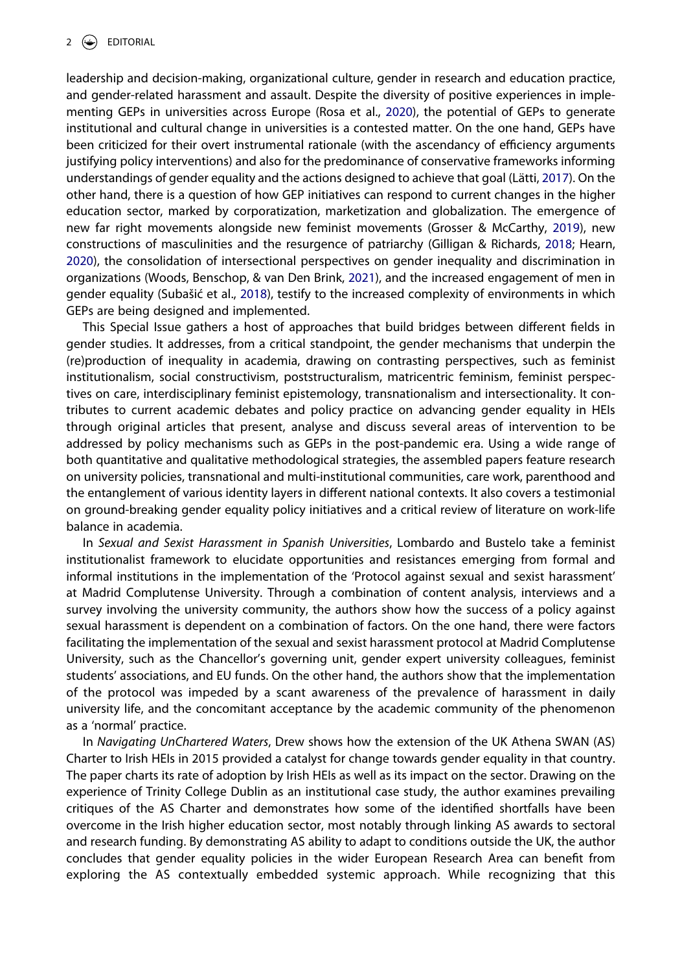<span id="page-3-2"></span>leadership and decision-making, organizational culture, gender in research and education practice, and gender-related harassment and assault. Despite the diversity of positive experiences in implementing GEPs in universities across Europe (Rosa et al., [2020](#page-7-0)), the potential of GEPs to generate institutional and cultural change in universities is a contested matter. On the one hand, GEPs have been criticized for their overt instrumental rationale (with the ascendancy of efficiency arguments justifying policy interventions) and also for the predominance of conservative frameworks informing understandings of gender equality and the actions designed to achieve that goal (Lätti, [2017\)](#page-7-19). On the other hand, there is a question of how GEP initiatives can respond to current changes in the higher education sector, marked by corporatization, marketization and globalization. The emergence of new far right movements alongside new feminist movements (Grosser & McCarthy, [2019](#page-7-20)), new constructions of masculinities and the resurgence of patriarchy (Gilligan & Richards, [2018;](#page-7-21) Hearn, [2020\)](#page-7-10), the consolidation of intersectional perspectives on gender inequality and discrimination in organizations (Woods, Benschop, & van Den Brink, [2021\)](#page-8-2), and the increased engagement of men in gender equality (Subašić et al., [2018](#page-8-3)), testify to the increased complexity of environments in which GEPs are being designed and implemented.

<span id="page-3-4"></span><span id="page-3-3"></span><span id="page-3-1"></span><span id="page-3-0"></span>This Special Issue gathers a host of approaches that build bridges between different fields in gender studies. It addresses, from a critical standpoint, the gender mechanisms that underpin the (re)production of inequality in academia, drawing on contrasting perspectives, such as feminist institutionalism, social constructivism, poststructuralism, matricentric feminism, feminist perspectives on care, interdisciplinary feminist epistemology, transnationalism and intersectionality. It contributes to current academic debates and policy practice on advancing gender equality in HEIs through original articles that present, analyse and discuss several areas of intervention to be addressed by policy mechanisms such as GEPs in the post-pandemic era. Using a wide range of both quantitative and qualitative methodological strategies, the assembled papers feature research on university policies, transnational and multi-institutional communities, care work, parenthood and the entanglement of various identity layers in different national contexts. It also covers a testimonial on ground-breaking gender equality policy initiatives and a critical review of literature on work-life balance in academia.

In *Sexual and Sexist Harassment in Spanish Universities*, Lombardo and Bustelo take a feminist institutionalist framework to elucidate opportunities and resistances emerging from formal and informal institutions in the implementation of the 'Protocol against sexual and sexist harassment' at Madrid Complutense University. Through a combination of content analysis, interviews and a survey involving the university community, the authors show how the success of a policy against sexual harassment is dependent on a combination of factors. On the one hand, there were factors facilitating the implementation of the sexual and sexist harassment protocol at Madrid Complutense University, such as the Chancellor's governing unit, gender expert university colleagues, feminist students' associations, and EU funds. On the other hand, the authors show that the implementation of the protocol was impeded by a scant awareness of the prevalence of harassment in daily university life, and the concomitant acceptance by the academic community of the phenomenon as a 'normal' practice.

In *Navigating UnChartered Waters*, Drew shows how the extension of the UK Athena SWAN (AS) Charter to Irish HEIs in 2015 provided a catalyst for change towards gender equality in that country. The paper charts its rate of adoption by Irish HEIs as well as its impact on the sector. Drawing on the experience of Trinity College Dublin as an institutional case study, the author examines prevailing critiques of the AS Charter and demonstrates how some of the identified shortfalls have been overcome in the Irish higher education sector, most notably through linking AS awards to sectoral and research funding. By demonstrating AS ability to adapt to conditions outside the UK, the author concludes that gender equality policies in the wider European Research Area can benefit from exploring the AS contextually embedded systemic approach. While recognizing that this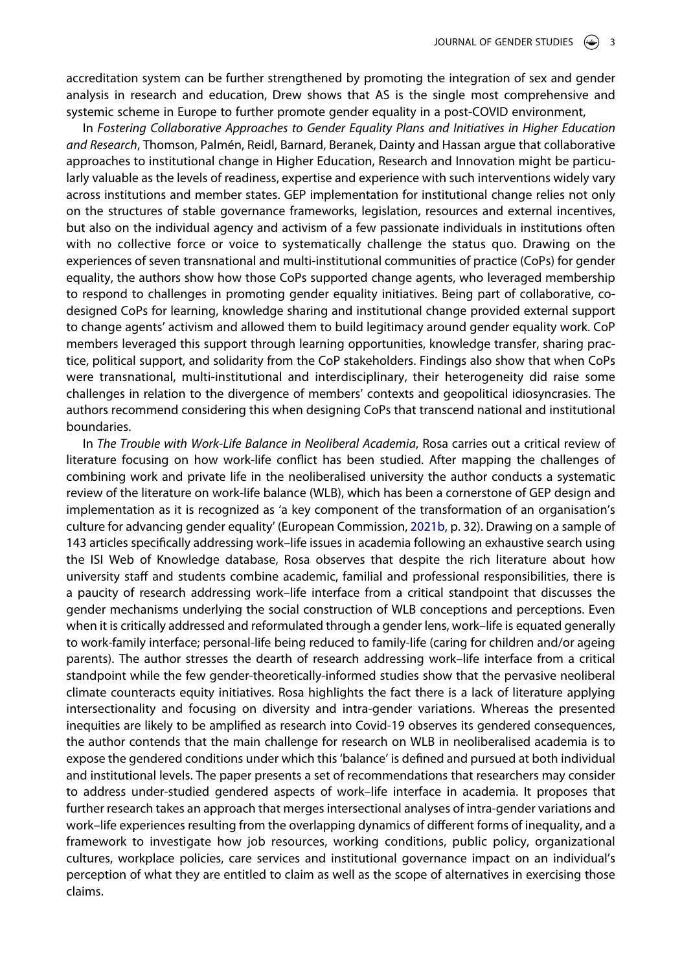accreditation system can be further strengthened by promoting the integration of sex and gender analysis in research and education, Drew shows that AS is the single most comprehensive and systemic scheme in Europe to further promote gender equality in a post-COVID environment,

In *Fostering Collaborative Approaches to Gender Equality Plans and Initiatives in Higher Education and Research*, Thomson, Palmén, Reidl, Barnard, Beranek, Dainty and Hassan argue that collaborative approaches to institutional change in Higher Education, Research and Innovation might be particularly valuable as the levels of readiness, expertise and experience with such interventions widely vary across institutions and member states. GEP implementation for institutional change relies not only on the structures of stable governance frameworks, legislation, resources and external incentives, but also on the individual agency and activism of a few passionate individuals in institutions often with no collective force or voice to systematically challenge the status quo. Drawing on the experiences of seven transnational and multi-institutional communities of practice (CoPs) for gender equality, the authors show how those CoPs supported change agents, who leveraged membership to respond to challenges in promoting gender equality initiatives. Being part of collaborative, codesigned CoPs for learning, knowledge sharing and institutional change provided external support to change agents' activism and allowed them to build legitimacy around gender equality work. CoP members leveraged this support through learning opportunities, knowledge transfer, sharing practice, political support, and solidarity from the CoP stakeholders. Findings also show that when CoPs were transnational, multi-institutional and interdisciplinary, their heterogeneity did raise some challenges in relation to the divergence of members' contexts and geopolitical idiosyncrasies. The authors recommend considering this when designing CoPs that transcend national and institutional boundaries.

In *The Trouble with Work-Life Balance in Neoliberal Academia*, Rosa carries out a critical review of literature focusing on how work-life conflict has been studied. After mapping the challenges of combining work and private life in the neoliberalised university the author conducts a systematic review of the literature on work-life balance (WLB), which has been a cornerstone of GEP design and implementation as it is recognized as 'a key component of the transformation of an organisation's culture for advancing gender equality' (European Commission, [2021b,](#page-7-18) p. 32). Drawing on a sample of 143 articles specifically addressing work–life issues in academia following an exhaustive search using the ISI Web of Knowledge database, Rosa observes that despite the rich literature about how university staff and students combine academic, familial and professional responsibilities, there is a paucity of research addressing work–life interface from a critical standpoint that discusses the gender mechanisms underlying the social construction of WLB conceptions and perceptions. Even when it is critically addressed and reformulated through a gender lens, work–life is equated generally to work-family interface; personal-life being reduced to family-life (caring for children and/or ageing parents). The author stresses the dearth of research addressing work–life interface from a critical standpoint while the few gender-theoretically-informed studies show that the pervasive neoliberal climate counteracts equity initiatives. Rosa highlights the fact there is a lack of literature applying intersectionality and focusing on diversity and intra-gender variations. Whereas the presented inequities are likely to be amplified as research into Covid-19 observes its gendered consequences, the author contends that the main challenge for research on WLB in neoliberalised academia is to expose the gendered conditions under which this 'balance' is defined and pursued at both individual and institutional levels. The paper presents a set of recommendations that researchers may consider to address under-studied gendered aspects of work–life interface in academia. It proposes that further research takes an approach that merges intersectional analyses of intra-gender variations and work–life experiences resulting from the overlapping dynamics of different forms of inequality, and a framework to investigate how job resources, working conditions, public policy, organizational cultures, workplace policies, care services and institutional governance impact on an individual's perception of what they are entitled to claim as well as the scope of alternatives in exercising those claims.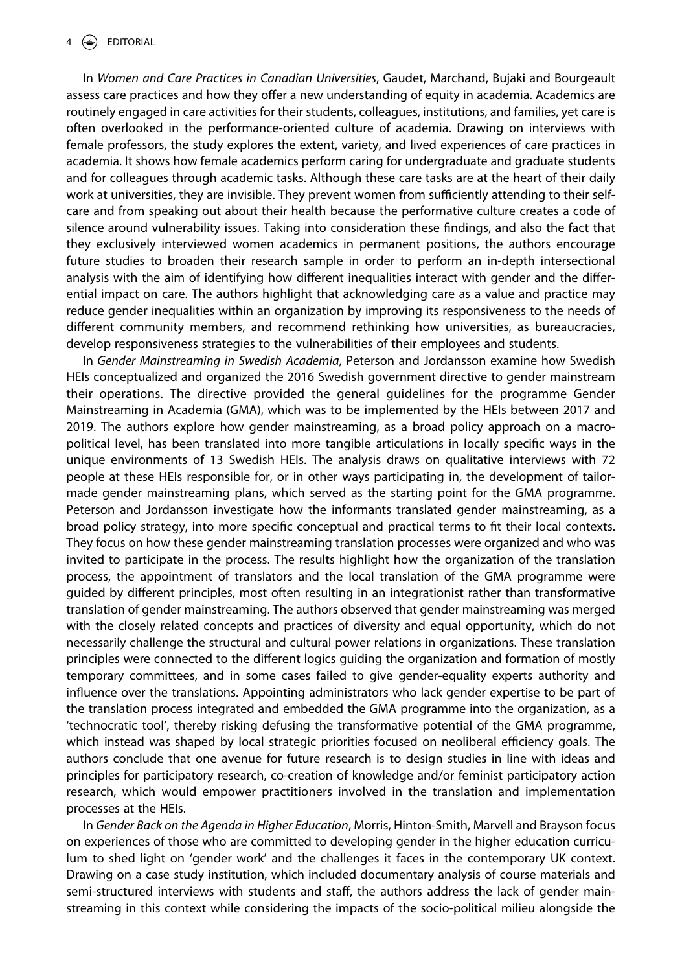In *Women and Care Practices in Canadian Universities*, Gaudet, Marchand, Bujaki and Bourgeault assess care practices and how they offer a new understanding of equity in academia. Academics are routinely engaged in care activities for their students, colleagues, institutions, and families, yet care is often overlooked in the performance-oriented culture of academia. Drawing on interviews with female professors, the study explores the extent, variety, and lived experiences of care practices in academia. It shows how female academics perform caring for undergraduate and graduate students and for colleagues through academic tasks. Although these care tasks are at the heart of their daily work at universities, they are invisible. They prevent women from sufficiently attending to their selfcare and from speaking out about their health because the performative culture creates a code of silence around vulnerability issues. Taking into consideration these findings, and also the fact that they exclusively interviewed women academics in permanent positions, the authors encourage future studies to broaden their research sample in order to perform an in-depth intersectional analysis with the aim of identifying how different inequalities interact with gender and the differential impact on care. The authors highlight that acknowledging care as a value and practice may reduce gender inequalities within an organization by improving its responsiveness to the needs of different community members, and recommend rethinking how universities, as bureaucracies, develop responsiveness strategies to the vulnerabilities of their employees and students.

In *Gender Mainstreaming in Swedish Academia*, Peterson and Jordansson examine how Swedish HEIs conceptualized and organized the 2016 Swedish government directive to gender mainstream their operations. The directive provided the general guidelines for the programme Gender Mainstreaming in Academia (GMA), which was to be implemented by the HEIs between 2017 and 2019. The authors explore how gender mainstreaming, as a broad policy approach on a macropolitical level, has been translated into more tangible articulations in locally specific ways in the unique environments of 13 Swedish HEIs. The analysis draws on qualitative interviews with 72 people at these HEIs responsible for, or in other ways participating in, the development of tailormade gender mainstreaming plans, which served as the starting point for the GMA programme. Peterson and Jordansson investigate how the informants translated gender mainstreaming, as a broad policy strategy, into more specific conceptual and practical terms to fit their local contexts. They focus on how these gender mainstreaming translation processes were organized and who was invited to participate in the process. The results highlight how the organization of the translation process, the appointment of translators and the local translation of the GMA programme were guided by different principles, most often resulting in an integrationist rather than transformative translation of gender mainstreaming. The authors observed that gender mainstreaming was merged with the closely related concepts and practices of diversity and equal opportunity, which do not necessarily challenge the structural and cultural power relations in organizations. These translation principles were connected to the different logics guiding the organization and formation of mostly temporary committees, and in some cases failed to give gender-equality experts authority and influence over the translations. Appointing administrators who lack gender expertise to be part of the translation process integrated and embedded the GMA programme into the organization, as a 'technocratic tool', thereby risking defusing the transformative potential of the GMA programme, which instead was shaped by local strategic priorities focused on neoliberal efficiency goals. The authors conclude that one avenue for future research is to design studies in line with ideas and principles for participatory research, co-creation of knowledge and/or feminist participatory action research, which would empower practitioners involved in the translation and implementation processes at the HEIs.

In *Gender Back on the Agenda in Higher Education*, Morris, Hinton-Smith, Marvell and Brayson focus on experiences of those who are committed to developing gender in the higher education curriculum to shed light on 'gender work' and the challenges it faces in the contemporary UK context. Drawing on a case study institution, which included documentary analysis of course materials and semi-structured interviews with students and staff, the authors address the lack of gender mainstreaming in this context while considering the impacts of the socio-political milieu alongside the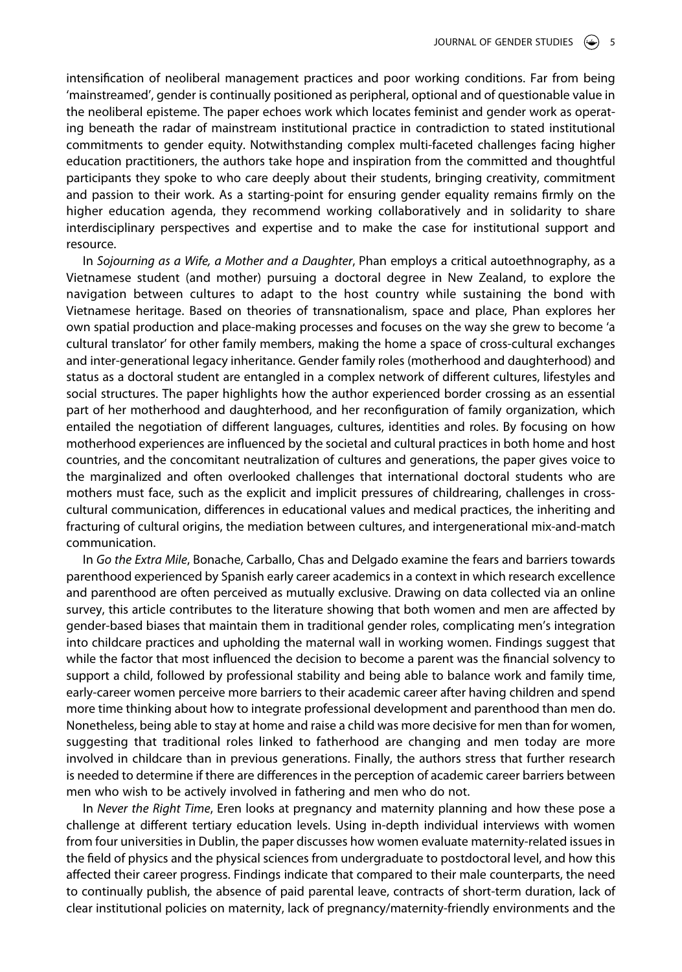intensification of neoliberal management practices and poor working conditions. Far from being 'mainstreamed', gender is continually positioned as peripheral, optional and of questionable value in the neoliberal episteme. The paper echoes work which locates feminist and gender work as operating beneath the radar of mainstream institutional practice in contradiction to stated institutional commitments to gender equity. Notwithstanding complex multi-faceted challenges facing higher education practitioners, the authors take hope and inspiration from the committed and thoughtful participants they spoke to who care deeply about their students, bringing creativity, commitment and passion to their work. As a starting-point for ensuring gender equality remains firmly on the higher education agenda, they recommend working collaboratively and in solidarity to share interdisciplinary perspectives and expertise and to make the case for institutional support and resource.

In *Sojourning as a Wife, a Mother and a Daughter*, Phan employs a critical autoethnography, as a Vietnamese student (and mother) pursuing a doctoral degree in New Zealand, to explore the navigation between cultures to adapt to the host country while sustaining the bond with Vietnamese heritage. Based on theories of transnationalism, space and place, Phan explores her own spatial production and place-making processes and focuses on the way she grew to become 'a cultural translator' for other family members, making the home a space of cross-cultural exchanges and inter-generational legacy inheritance. Gender family roles (motherhood and daughterhood) and status as a doctoral student are entangled in a complex network of different cultures, lifestyles and social structures. The paper highlights how the author experienced border crossing as an essential part of her motherhood and daughterhood, and her reconfiguration of family organization, which entailed the negotiation of different languages, cultures, identities and roles. By focusing on how motherhood experiences are influenced by the societal and cultural practices in both home and host countries, and the concomitant neutralization of cultures and generations, the paper gives voice to the marginalized and often overlooked challenges that international doctoral students who are mothers must face, such as the explicit and implicit pressures of childrearing, challenges in crosscultural communication, differences in educational values and medical practices, the inheriting and fracturing of cultural origins, the mediation between cultures, and intergenerational mix-and-match communication.

In *Go the Extra Mile*, Bonache, Carballo, Chas and Delgado examine the fears and barriers towards parenthood experienced by Spanish early career academics in a context in which research excellence and parenthood are often perceived as mutually exclusive. Drawing on data collected via an online survey, this article contributes to the literature showing that both women and men are affected by gender-based biases that maintain them in traditional gender roles, complicating men's integration into childcare practices and upholding the maternal wall in working women. Findings suggest that while the factor that most influenced the decision to become a parent was the financial solvency to support a child, followed by professional stability and being able to balance work and family time, early-career women perceive more barriers to their academic career after having children and spend more time thinking about how to integrate professional development and parenthood than men do. Nonetheless, being able to stay at home and raise a child was more decisive for men than for women, suggesting that traditional roles linked to fatherhood are changing and men today are more involved in childcare than in previous generations. Finally, the authors stress that further research is needed to determine if there are differences in the perception of academic career barriers between men who wish to be actively involved in fathering and men who do not.

In *Never the Right Time*, Eren looks at pregnancy and maternity planning and how these pose a challenge at different tertiary education levels. Using in-depth individual interviews with women from four universities in Dublin, the paper discusses how women evaluate maternity-related issues in the field of physics and the physical sciences from undergraduate to postdoctoral level, and how this affected their career progress. Findings indicate that compared to their male counterparts, the need to continually publish, the absence of paid parental leave, contracts of short-term duration, lack of clear institutional policies on maternity, lack of pregnancy/maternity-friendly environments and the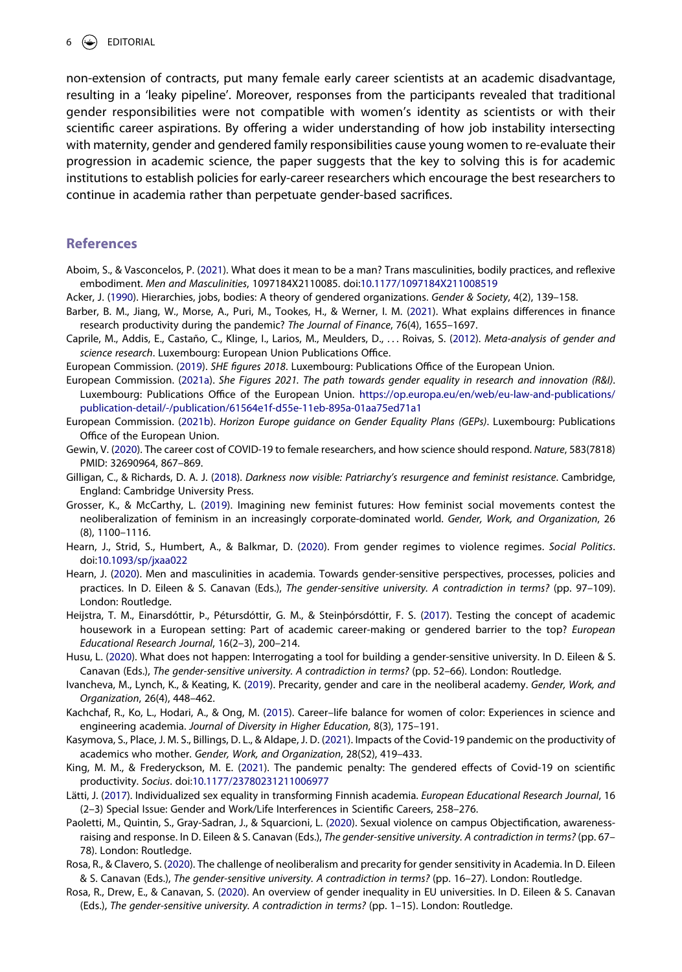#### $6 \quad \bigodot \quad \text{EDITORIAL}$

non-extension of contracts, put many female early career scientists at an academic disadvantage, resulting in a 'leaky pipeline'. Moreover, responses from the participants revealed that traditional gender responsibilities were not compatible with women's identity as scientists or with their scientific career aspirations. By offering a wider understanding of how job instability intersecting with maternity, gender and gendered family responsibilities cause young women to re-evaluate their progression in academic science, the paper suggests that the key to solving this is for academic institutions to establish policies for early-career researchers which encourage the best researchers to continue in academia rather than perpetuate gender-based sacrifices.

#### **References**

- <span id="page-7-9"></span>Aboim, S., & Vasconcelos, P. ([2021](#page-2-0)). What does it mean to be a man? Trans masculinities, bodily practices, and reflexive embodiment. *Men and Masculinities*, 1097184X2110085. doi:[10.1177/1097184X211008519](https://doi.org/10.1177/1097184X211008519)
- <span id="page-7-11"></span>Acker, J. ([1990](#page-2-1)). Hierarchies, jobs, bodies: A theory of gendered organizations. *Gender & Society*, 4(2), 139–158.
- <span id="page-7-16"></span>Barber, B. M., Jiang, W., Morse, A., Puri, M., Tookes, H., & Werner, I. M. ([2021](#page-2-2)). What explains differences in finance research productivity during the pandemic? *The Journal of Finance*, 76(4), 1655–1697.
- <span id="page-7-1"></span>Caprile, M., Addis, E., Castaño, C., Klinge, I., Larios, M., Meulders, D., . . . Roivas, S. ([2012](#page-2-3)). *Meta-analysis of gender and science research*. Luxembourg: European Union Publications Office.
- <span id="page-7-2"></span>European Commission. ([2019](#page-2-4)). *SHE figures 2018*. Luxembourg: Publications Office of the European Union.
- <span id="page-7-8"></span>European Commission. [\(2021a\)](#page-2-4). *She Figures 2021. The path towards gender equality in research and innovation (R&I)*. Luxembourg: Publications Office of the European Union. [https://op.europa.eu/en/web/eu-law-and-publications/](https://op.europa.eu/en/web/eu-law-and-publications/publication-detail/-/publication/61564e1f-d55e-11eb-895a-01aa75ed71a1) [publication-detail/-/publication/61564e1f-d55e-11eb-895a-01aa75ed71a1](https://op.europa.eu/en/web/eu-law-and-publications/publication-detail/-/publication/61564e1f-d55e-11eb-895a-01aa75ed71a1)
- <span id="page-7-18"></span>European Commission. [\(2021b](#page-2-5)). *Horizon Europe guidance on Gender Equality Plans (GEPs)*. Luxembourg: Publications Office of the European Union.
- <span id="page-7-12"></span>Gewin, V. ([2020](#page-2-6)). The career cost of COVID-19 to female researchers, and how science should respond. *Nature*, 583(7818) PMID: 32690964, 867–869.
- <span id="page-7-21"></span>Gilligan, C., & Richards, D. A. J. ([2018](#page-3-0)). *Darkness now visible: Patriarchy's resurgence and feminist resistance*. Cambridge, England: Cambridge University Press.
- <span id="page-7-20"></span>Grosser, K., & McCarthy, L. ([2019](#page-3-1)). Imagining new feminist futures: How feminist social movements contest the neoliberalization of feminism in an increasingly corporate-dominated world. *Gender, Work, and Organization*, 26 (8), 1100–1116.
- <span id="page-7-3"></span>Hearn, J., Strid, S., Humbert, A., & Balkmar, D. ([2020](#page-2-7)). From gender regimes to violence regimes. *Social Politics*. doi:[10.1093/sp/jxaa022](https://doi.org/10.1093/sp/jxaa022)
- <span id="page-7-10"></span>Hearn, J. [\(2020\)](#page-2-0). Men and masculinities in academia. Towards gender-sensitive perspectives, processes, policies and practices. In D. Eileen & S. Canavan (Eds.), *The gender-sensitive university. A contradiction in terms?* (pp. 97–109). London: Routledge.
- <span id="page-7-4"></span>Heijstra, T. M., Einarsdóttir, Þ., Pétursdóttir, G. M., & Steinþórsdóttir, F. S. ([2017](#page-2-8)). Testing the concept of academic housework in a European setting: Part of academic career-making or gendered barrier to the top? *European Educational Research Journal*, 16(2–3), 200–214.
- <span id="page-7-5"></span>Husu, L. ([2020](#page-2-8)). What does not happen: Interrogating a tool for building a gender-sensitive university. In D. Eileen & S. Canavan (Eds.), *The gender-sensitive university. A contradiction in terms?* (pp. 52–66). London: Routledge.
- <span id="page-7-13"></span>Ivancheva, M., Lynch, K., & Keating, K. ([2019](#page-2-9)). Precarity, gender and care in the neoliberal academy. *Gender, Work, and Organization*, 26(4), 448–462.
- <span id="page-7-6"></span>Kachchaf, R., Ko, L., Hodari, A., & Ong, M. ([2015](#page-2-8)). Career–life balance for women of color: Experiences in science and engineering academia. *Journal of Diversity in Higher Education*, 8(3), 175–191.
- <span id="page-7-17"></span>Kasymova, S., Place, J. M. S., Billings, D. L., & Aldape, J. D. [\(2021\)](#page-2-2). Impacts of the Covid-19 pandemic on the productivity of academics who mother. *Gender, Work, and Organization*, 28(S2), 419–433.
- <span id="page-7-15"></span>King, M. M., & Frederyckson, M. E. ([2021](#page-2-10)). The pandemic penalty: The gendered effects of Covid-19 on scientific productivity. *Socius*. doi:[10.1177/23780231211006977](https://doi.org/10.1177/23780231211006977)
- <span id="page-7-19"></span>Lätti, J. [\(2017\)](#page-3-2). Individualized sex equality in transforming Finnish academia. *European Educational Research Journal*, 16 (2–3) Special Issue: Gender and Work/Life Interferences in Scientific Careers, 258–276.
- <span id="page-7-7"></span>Paoletti, M., Quintin, S., Gray-Sadran, J., & Squarcioni, L. [\(2020\)](#page-2-11). Sexual violence on campus Objectification, awarenessraising and response. In D. Eileen & S. Canavan (Eds.), *The gender-sensitive university. A contradiction in terms?* (pp. 67– 78). London: Routledge.
- <span id="page-7-14"></span>Rosa, R., & Clavero, S. ([2020](#page-2-9)). The challenge of neoliberalism and precarity for gender sensitivity in Academia. In D. Eileen & S. Canavan (Eds.), *The gender-sensitive university. A contradiction in terms?* (pp. 16–27). London: Routledge.
- <span id="page-7-0"></span>Rosa, R., Drew, E., & Canavan, S. ([2020](#page-2-12)). An overview of gender inequality in EU universities. In D. Eileen & S. Canavan (Eds.), *The gender-sensitive university. A contradiction in terms?* (pp. 1–15). London: Routledge.